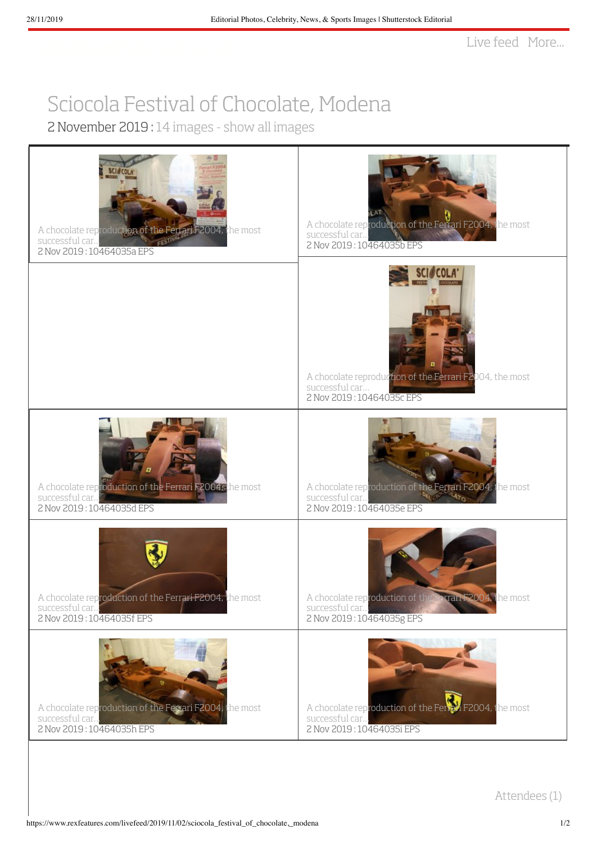## Sciocola Festival of [Chocolate,](https://www.rexfeatures.com/livefeed/2019/11/02/sciocola_festival_of_chocolate,_modena) Modena

2 November 2019 : 14 [images](https://www.rexfeatures.com/livefeed/2019/11/02/sciocola_festival_of_chocolate,_modena) - show all images

| A chocolate reproduction of the Ferrari F2004, the most<br>PFSTIV<br>successful car<br>2 Nov 2019: 10464035a EPS | A chocolate reproduction of the Ferrari F2004, the most<br>successful car<br>2 Nov 2019: 10464035b EPS                   |
|------------------------------------------------------------------------------------------------------------------|--------------------------------------------------------------------------------------------------------------------------|
|                                                                                                                  | A chocolate reproduction of the Ferrari F2004, the most<br>successful car<br>2 Nov 2019: 10464035c EPS                   |
| A chocolate reproduction of the Ferrari F2004, the most<br>successful car<br>2 Nov 2019: 10464035d EPS           | A chocolate reproduction of the Ferrari F2004, the most<br>successful car<br><b>ADVANTO</b><br>2 Nov 2019: 10464035e EPS |
| A chocolate reproduction of the Ferrari F2004, the most<br>successful car<br>2 Nov 2019: 10464035f EPS           | A chocolate reproduction of the Ferrari F2004, the most<br>successful car<br>2 Nov 2019:10464035g EPS                    |
| A chocolate reproduction of the Ferrari F2004, the most<br>successful car<br>2 Nov 2019: 10464035h EPS           | A chocolate reproduction of the Femal F2004, the most<br>successful car<br>2 Nov 2019: 10464035i EPS                     |